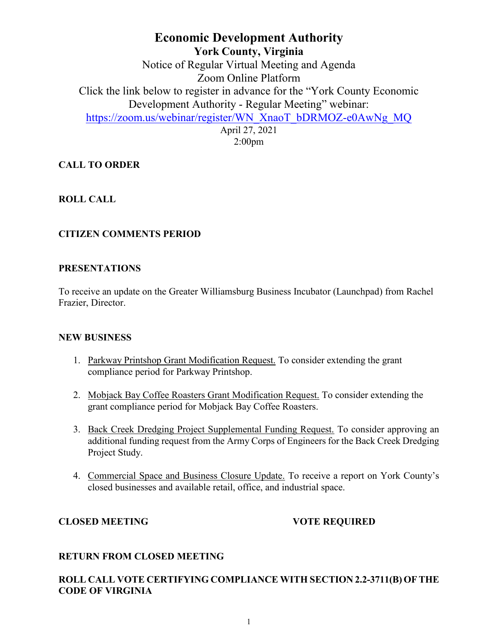# **Economic Development Authority York County, Virginia** Notice of Regular Virtual Meeting and Agenda Zoom Online Platform Click the link below to register in advance for the "York County Economic Development Authority - Regular Meeting" webinar: [https://zoom.us/webinar/register/WN\\_XnaoT\\_bDRMOZ-e0AwNg\\_MQ](https://zoom.us/webinar/register/WN_XnaoT_bDRMOZ-e0AwNg_MQ) April 27, 2021

2:00pm

## **CALL TO ORDER**

## **ROLL CALL**

### **CITIZEN COMMENTS PERIOD**

#### **PRESENTATIONS**

To receive an update on the Greater Williamsburg Business Incubator (Launchpad) from Rachel Frazier, Director.

#### **NEW BUSINESS**

- 1. Parkway Printshop Grant Modification Request. To consider extending the grant compliance period for Parkway Printshop.
- 2. Mobjack Bay Coffee Roasters Grant Modification Request. To consider extending the grant compliance period for Mobjack Bay Coffee Roasters.
- 3. Back Creek Dredging Project Supplemental Funding Request. To consider approving an additional funding request from the Army Corps of Engineers for the Back Creek Dredging Project Study.
- 4. Commercial Space and Business Closure Update. To receive a report on York County's closed businesses and available retail, office, and industrial space.

### **CLOSED MEETING VOTE REQUIRED**

### **RETURN FROM CLOSED MEETING**

## **ROLL CALL VOTE CERTIFYING COMPLIANCE WITH SECTION 2.2-3711(B) OF THE CODE OF VIRGINIA**